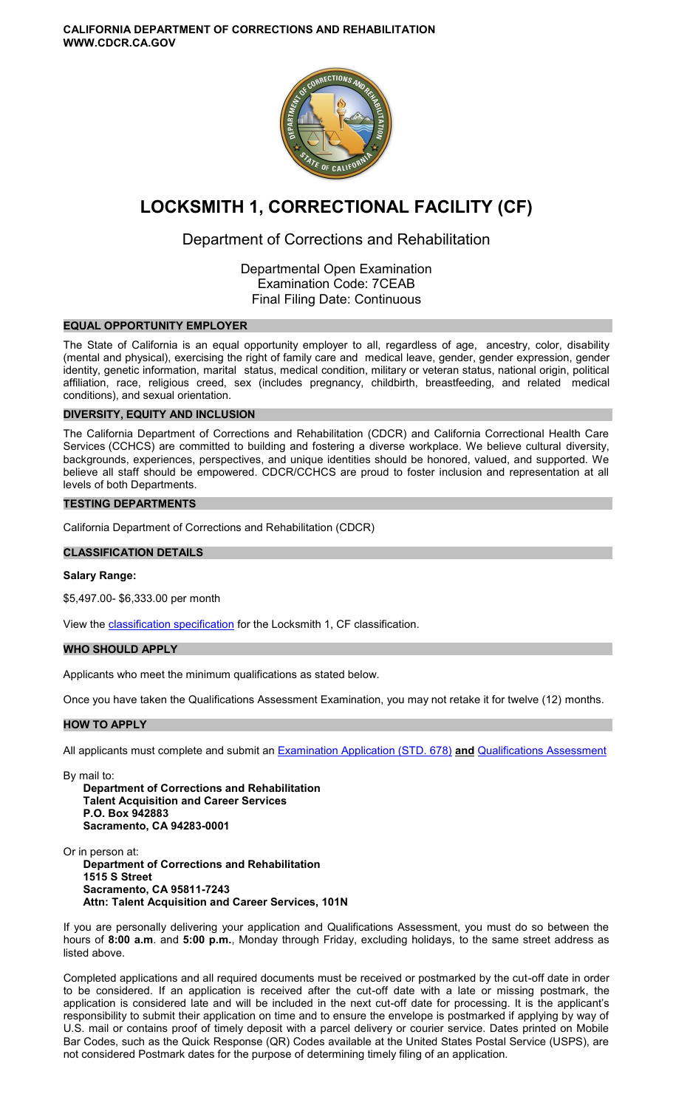**CALIFORNIA DEPARTMENT OF CORRECTIONS AND REHABILITATION WWW.CDCR.CA.GOV** 



# **LOCKSMITH 1, CORRECTIONAL FACILITY (CF)**

## Department of Corrections and Rehabilitation

Departmental Open Examination Examination Code: 7CEAB Final Filing Date: Continuous

## **EQUAL OPPORTUNITY EMPLOYER**

The State of California is an equal opportunity employer to all, regardless of age, ancestry, color, disability (mental and physical), exercising the right of family care and medical leave, gender, gender expression, gender identity, genetic information, marital status, medical condition, military or veteran status, national origin, political affiliation, race, religious creed, sex (includes pregnancy, childbirth, breastfeeding, and related medical conditions), and sexual orientation.

## **DIVERSITY, EQUITY AND INCLUSION**

The California Department of Corrections and Rehabilitation (CDCR) and California Correctional Health Care Services (CCHCS) are committed to building and fostering a diverse workplace. We believe cultural diversity, backgrounds, experiences, perspectives, and unique identities should be honored, valued, and supported. We believe all staff should be empowered. CDCR/CCHCS are proud to foster inclusion and representation at all levels of both Departments.

## **TESTING DEPARTMENTS**

California Department of Corrections and Rehabilitation (CDCR)

## **CLASSIFICATION DETAILS**

## **Salary Range:**

\$5,497.00- \$6,333.00 per month

View the [classification specification](http://www.calhr.ca.gov/state-hr-professionals/Pages/6642.aspx) for the Locksmith 1, CF classification.

## **WHO SHOULD APPLY**

Applicants who meet the minimum qualifications as stated below.

Once you have taken the Qualifications Assessment Examination, you may not retake it for twelve (12) months.

## **HOW TO APPLY**

All applicants must complete and submit an [Examination Application \(STD. 678\)](https://jobs.ca.gov/pdf/STD678.pdf) **and** [Qualifications Assessment](https://www.cdcr.ca.gov/careers/locksmith1cfqa-o-c/) 

By mail to:

**Department of Corrections and Rehabilitation Talent Acquisition and Career Services P.O. Box 942883 Sacramento, CA 94283-0001** 

Or in person at: **Department of Corrections and Rehabilitation 1515 S Street Sacramento, CA 95811-7243 Attn: Talent Acquisition and Career Services, 101N** 

If you are personally delivering your application and Qualifications Assessment, you must do so between the hours of **8:00 a.m**. and **5:00 p.m.**, Monday through Friday, excluding holidays, to the same street address as listed above.

Completed applications and all required documents must be received or postmarked by the cut-off date in order to be considered. If an application is received after the cut-off date with a late or missing postmark, the application is considered late and will be included in the next cut-off date for processing. It is the applicant's responsibility to submit their application on time and to ensure the envelope is postmarked if applying by way of U.S. mail or contains proof of timely deposit with a parcel delivery or courier service. Dates printed on Mobile Bar Codes, such as the Quick Response (QR) Codes available at the United States Postal Service (USPS), are not considered Postmark dates for the purpose of determining timely filing of an application.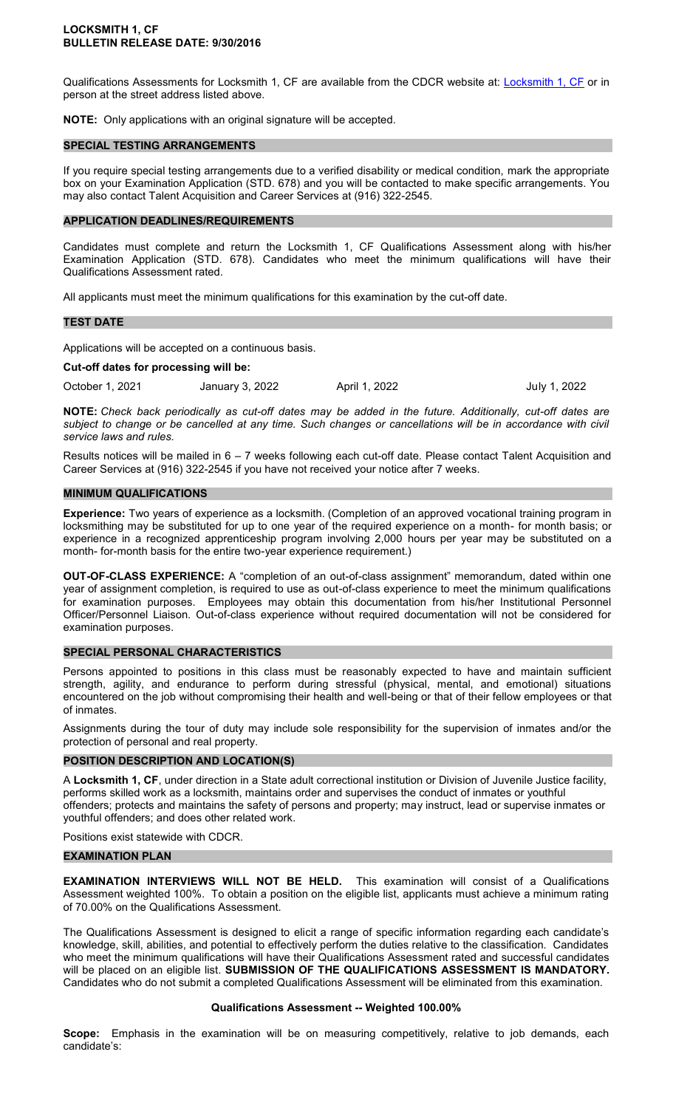Qualifications Assessments for [Locksmith 1, CF](https://www.cdcr.ca.gov/careers/locksmith1cfqa-o-c/) are available from the CDCR website at: Locksmith 1, CF or in person at the street address listed above.

**NOTE:** Only applications with an original signature will be accepted.

#### **SPECIAL TESTING ARRANGEMENTS**

If you require special testing arrangements due to a verified disability or medical condition, mark the appropriate box on your Examination Application (STD. 678) and you will be contacted to make specific arrangements. You may also contact Talent Acquisition and Career Services at (916) 322-2545.

#### **APPLICATION DEADLINES/REQUIREMENTS**

Candidates must complete and return the Locksmith 1, CF Qualifications Assessment along with his/her Examination Application (STD. 678). Candidates who meet the minimum qualifications will have their Qualifications Assessment rated.

All applicants must meet the minimum qualifications for this examination by the cut-off date.

#### **TEST DATE**

Applications will be accepted on a continuous basis.

**Cut-off dates for processing will be:** 

October 1, 2021 January 3, 2022 April 1, 2022 July 1, 2022

**NOTE:** *Check back periodically as cut-off dates may be added in the future. Additionally, cut-off dates are subject to change or be cancelled at any time. Such changes or cancellations will be in accordance with civil service laws and rules.* 

Results notices will be mailed in 6 – 7 weeks following each cut-off date. Please contact Talent Acquisition and Career Services at (916) 322-2545 if you have not received your notice after 7 weeks.

#### **MINIMUM QUALIFICATIONS**

**Experience:** Two years of experience as a locksmith. (Completion of an approved vocational training program in locksmithing may be substituted for up to one year of the required experience on a month- for month basis; or experience in a recognized apprenticeship program involving 2,000 hours per year may be substituted on a month- for-month basis for the entire two-year experience requirement.)

**OUT-OF-CLASS EXPERIENCE:** A "completion of an out-of-class assignment" memorandum, dated within one year of assignment completion, is required to use as out-of-class experience to meet the minimum qualifications for examination purposes. Employees may obtain this documentation from his/her Institutional Personnel Officer/Personnel Liaison. Out-of-class experience without required documentation will not be considered for examination purposes.

#### **SPECIAL PERSONAL CHARACTERISTICS**

Persons appointed to positions in this class must be reasonably expected to have and maintain sufficient strength, agility, and endurance to perform during stressful (physical, mental, and emotional) situations encountered on the job without compromising their health and well-being or that of their fellow employees or that of inmates.

Assignments during the tour of duty may include sole responsibility for the supervision of inmates and/or the protection of personal and real property.

#### **POSITION DESCRIPTION AND LOCATION(S)**

A **Locksmith 1, CF**, under direction in a State adult correctional institution or Division of Juvenile Justice facility, performs skilled work as a locksmith, maintains order and supervises the conduct of inmates or youthful offenders; protects and maintains the safety of persons and property; may instruct, lead or supervise inmates or youthful offenders; and does other related work.

Positions exist statewide with CDCR.

#### **EXAMINATION PLAN**

**EXAMINATION INTERVIEWS WILL NOT BE HELD.** This examination will consist of a Qualifications Assessment weighted 100%. To obtain a position on the eligible list, applicants must achieve a minimum rating of 70.00% on the Qualifications Assessment.

The Qualifications Assessment is designed to elicit a range of specific information regarding each candidate's knowledge, skill, abilities, and potential to effectively perform the duties relative to the classification. Candidates who meet the minimum qualifications will have their Qualifications Assessment rated and successful candidates will be placed on an eligible list. **SUBMISSION OF THE QUALIFICATIONS ASSESSMENT IS MANDATORY.**  Candidates who do not submit a completed Qualifications Assessment will be eliminated from this examination.

#### **Qualifications Assessment -- Weighted 100.00%**

**Scope:** Emphasis in the examination will be on measuring competitively, relative to job demands, each candidate's: